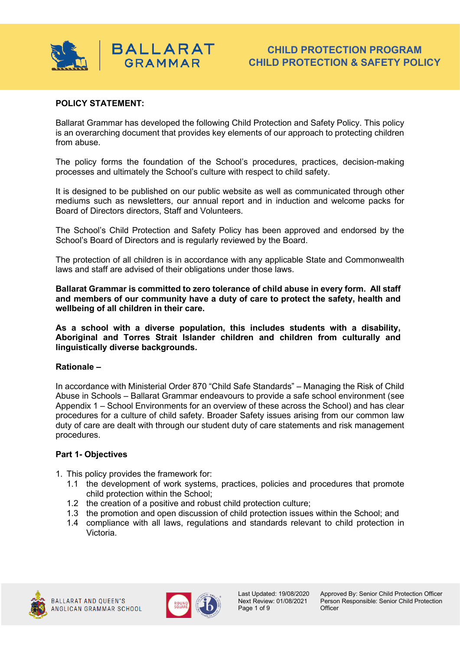

### **POLICY STATEMENT:**

Ballarat Grammar has developed the following Child Protection and Safety Policy. This policy is an overarching document that provides key elements of our approach to protecting children from abuse.

The policy forms the foundation of the School's procedures, practices, decision-making processes and ultimately the School's culture with respect to child safety.

It is designed to be published on our public website as well as communicated through other mediums such as newsletters, our annual report and in induction and welcome packs for Board of Directors directors, Staff and Volunteers.

The School's Child Protection and Safety Policy has been approved and endorsed by the School's Board of Directors and is regularly reviewed by the Board.

The protection of all children is in accordance with any applicable State and Commonwealth laws and staff are advised of their obligations under those laws.

**Ballarat Grammar is committed to zero tolerance of child abuse in every form. All staff and members of our community have a duty of care to protect the safety, health and wellbeing of all children in their care.**

**As a school with a diverse population, this includes students with a disability, Aboriginal and Torres Strait Islander children and children from culturally and linguistically diverse backgrounds.**

#### **Rationale –**

In accordance with Ministerial Order 870 "Child Safe Standards" – Managing the Risk of Child Abuse in Schools – Ballarat Grammar endeavours to provide a safe school environment (see Appendix 1 – School Environments for an overview of these across the School) and has clear procedures for a culture of child safety. Broader Safety issues arising from our common law duty of care are dealt with through our student duty of care statements and risk management procedures.

#### **Part 1- Objectives**

- 1. This policy provides the framework for:
	- 1.1 the development of work systems, practices, policies and procedures that promote child protection within the School;
	- 1.2 the creation of a positive and robust child protection culture;
	- 1.3 the promotion and open discussion of child protection issues within the School; and
	- 1.4 compliance with all laws, regulations and standards relevant to child protection in Victoria.





Last Updated: 19/08/2020 Approved By: Senior Child Protection Officer<br>Next Review: 01/08/2021 Person Responsible: Senior Child Protection Person Responsible: Senior Child Protection<br>Officer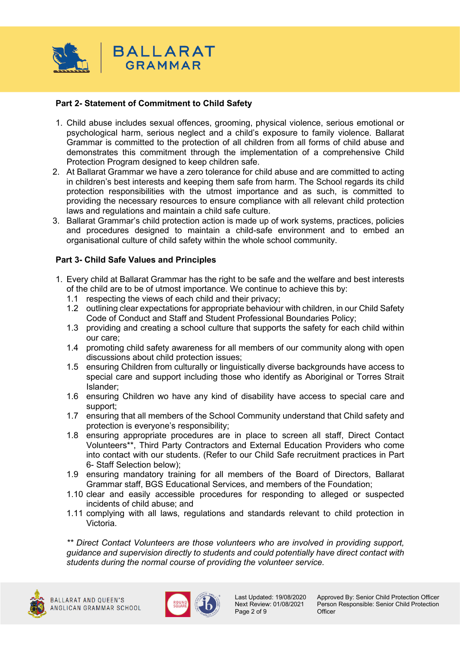

## **Part 2- Statement of Commitment to Child Safety**

- 1. Child abuse includes sexual offences, grooming, physical violence, serious emotional or psychological harm, serious neglect and a child's exposure to family violence. Ballarat Grammar is committed to the protection of all children from all forms of child abuse and demonstrates this commitment through the implementation of a comprehensive Child Protection Program designed to keep children safe.
- 2. At Ballarat Grammar we have a zero tolerance for child abuse and are committed to acting in children's best interests and keeping them safe from harm. The School regards its child protection responsibilities with the utmost importance and as such, is committed to providing the necessary resources to ensure compliance with all relevant child protection laws and regulations and maintain a child safe culture.
- 3. Ballarat Grammar's child protection action is made up of work systems, practices, policies and procedures designed to maintain a child-safe environment and to embed an organisational culture of child safety within the whole school community.

### **Part 3- Child Safe Values and Principles**

- 1. Every child at Ballarat Grammar has the right to be safe and the welfare and best interests of the child are to be of utmost importance. We continue to achieve this by:
	- 1.1 respecting the views of each child and their privacy;
	- 1.2 outlining clear expectations for appropriate behaviour with children, in our Child Safety Code of Conduct and Staff and Student Professional Boundaries Policy;
	- 1.3 providing and creating a school culture that supports the safety for each child within our care;
	- 1.4 promoting child safety awareness for all members of our community along with open discussions about child protection issues;
	- 1.5 ensuring Children from culturally or linguistically diverse backgrounds have access to special care and support including those who identify as Aboriginal or Torres Strait Islander;
	- 1.6 ensuring Children wo have any kind of disability have access to special care and support;
	- 1.7 ensuring that all members of the School Community understand that Child safety and protection is everyone's responsibility;
	- 1.8 ensuring appropriate procedures are in place to screen all staff, Direct Contact Volunteers\*\*, Third Party Contractors and External Education Providers who come into contact with our students. (Refer to our Child Safe recruitment practices in Part 6- Staff Selection below);
	- 1.9 ensuring mandatory training for all members of the Board of Directors, Ballarat Grammar staff, BGS Educational Services, and members of the Foundation;
	- 1.10 clear and easily accessible procedures for responding to alleged or suspected incidents of child abuse; and
	- 1.11 complying with all laws, regulations and standards relevant to child protection in Victoria.

*\*\* Direct Contact Volunteers are those volunteers who are involved in providing support, guidance and supervision directly to students and could potentially have direct contact with students during the normal course of providing the volunteer service.*



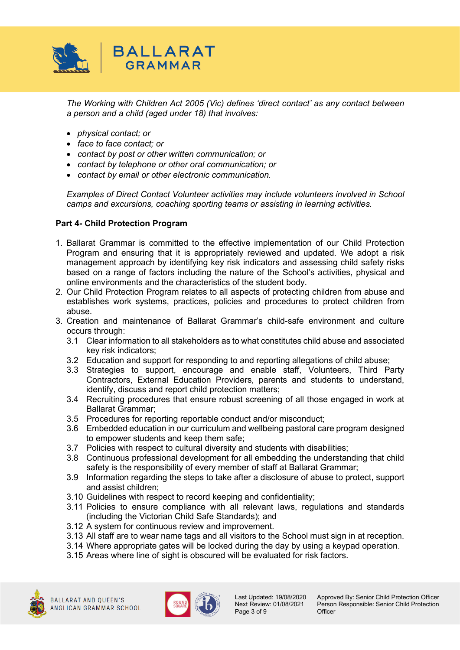

*The Working with Children Act 2005 (Vic) defines 'direct contact' as any contact between a person and a child (aged under 18) that involves:*

- *physical contact; or*
- *face to face contact; or*
- *contact by post or other written communication; or*
- *contact by telephone or other oral communication; or*
- *contact by email or other electronic communication.*

*Examples of Direct Contact Volunteer activities may include volunteers involved in School camps and excursions, coaching sporting teams or assisting in learning activities.*

### **Part 4- Child Protection Program**

- 1. Ballarat Grammar is committed to the effective implementation of our Child Protection Program and ensuring that it is appropriately reviewed and updated. We adopt a risk management approach by identifying key risk indicators and assessing child safety risks based on a range of factors including the nature of the School's activities, physical and online environments and the characteristics of the student body.
- 2. Our Child Protection Program relates to all aspects of protecting children from abuse and establishes work systems, practices, policies and procedures to protect children from abuse.
- 3. Creation and maintenance of Ballarat Grammar's child-safe environment and culture occurs through:
	- 3.1 Clear information to all stakeholders as to what constitutes child abuse and associated key risk indicators;
	- 3.2 Education and support for responding to and reporting allegations of child abuse;
	- 3.3 Strategies to support, encourage and enable staff, Volunteers, Third Party Contractors, External Education Providers, parents and students to understand, identify, discuss and report child protection matters;
	- 3.4 Recruiting procedures that ensure robust screening of all those engaged in work at Ballarat Grammar;
	- 3.5 Procedures for reporting reportable conduct and/or misconduct;
	- 3.6 Embedded education in our curriculum and wellbeing pastoral care program designed to empower students and keep them safe;
	- 3.7 Policies with respect to cultural diversity and students with disabilities;
	- 3.8 Continuous professional development for all embedding the understanding that child safety is the responsibility of every member of staff at Ballarat Grammar;
	- 3.9 Information regarding the steps to take after a disclosure of abuse to protect, support and assist children;
	- 3.10 Guidelines with respect to record keeping and confidentiality;
	- 3.11 Policies to ensure compliance with all relevant laws, regulations and standards (including the Victorian Child Safe Standards); and
	- 3.12 A system for continuous review and improvement.
	- 3.13 All staff are to wear name tags and all visitors to the School must sign in at reception.
	- 3.14 Where appropriate gates will be locked during the day by using a keypad operation.
	- 3.15 Areas where line of sight is obscured will be evaluated for risk factors.



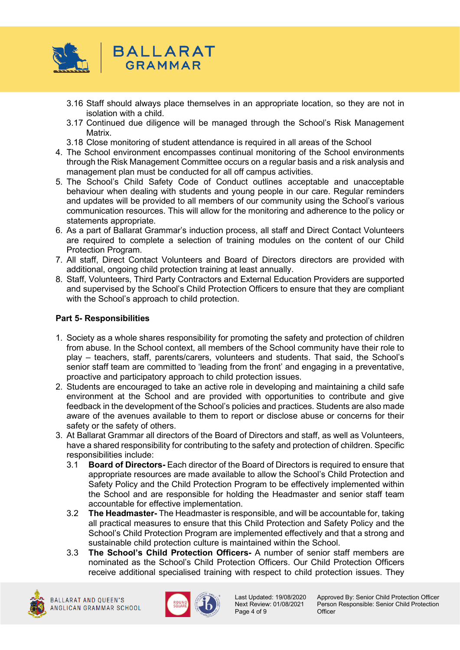

- 3.16 Staff should always place themselves in an appropriate location, so they are not in isolation with a child.
- 3.17 Continued due diligence will be managed through the School's Risk Management Matrix.
- 3.18 Close monitoring of student attendance is required in all areas of the School
- 4. The School environment encompasses continual monitoring of the School environments through the Risk Management Committee occurs on a regular basis and a risk analysis and management plan must be conducted for all off campus activities.
- 5. The School's Child Safety Code of Conduct outlines acceptable and unacceptable behaviour when dealing with students and young people in our care. Regular reminders and updates will be provided to all members of our community using the School's various communication resources. This will allow for the monitoring and adherence to the policy or statements appropriate.
- 6. As a part of Ballarat Grammar's induction process, all staff and Direct Contact Volunteers are required to complete a selection of training modules on the content of our Child Protection Program.
- 7. All staff, Direct Contact Volunteers and Board of Directors directors are provided with additional, ongoing child protection training at least annually.
- 8. Staff, Volunteers, Third Party Contractors and External Education Providers are supported and supervised by the School's Child Protection Officers to ensure that they are compliant with the School's approach to child protection.

# **Part 5- Responsibilities**

- 1. Society as a whole shares responsibility for promoting the safety and protection of children from abuse. In the School context, all members of the School community have their role to play – teachers, staff, parents/carers, volunteers and students. That said, the School's senior staff team are committed to 'leading from the front' and engaging in a preventative, proactive and participatory approach to child protection issues.
- 2. Students are encouraged to take an active role in developing and maintaining a child safe environment at the School and are provided with opportunities to contribute and give feedback in the development of the School's policies and practices. Students are also made aware of the avenues available to them to report or disclose abuse or concerns for their safety or the safety of others.
- 3. At Ballarat Grammar all directors of the Board of Directors and staff, as well as Volunteers, have a shared responsibility for contributing to the safety and protection of children. Specific responsibilities include:
	- 3.1 **Board of Directors-** Each director of the Board of Directors is required to ensure that appropriate resources are made available to allow the School's Child Protection and Safety Policy and the Child Protection Program to be effectively implemented within the School and are responsible for holding the Headmaster and senior staff team accountable for effective implementation.
	- 3.2 **The Headmaster-** The Headmaster is responsible, and will be accountable for, taking all practical measures to ensure that this Child Protection and Safety Policy and the School's Child Protection Program are implemented effectively and that a strong and sustainable child protection culture is maintained within the School.
	- 3.3 **The School's Child Protection Officers-** A number of senior staff members are nominated as the School's Child Protection Officers. Our Child Protection Officers receive additional specialised training with respect to child protection issues. They





Page 4 of 9

Last Updated: 19/08/2020 Approved By: Senior Child Protection Officer<br>Next Review: 01/08/2021 Person Responsible: Senior Child Protection Person Responsible: Senior Child Protection<br>Officer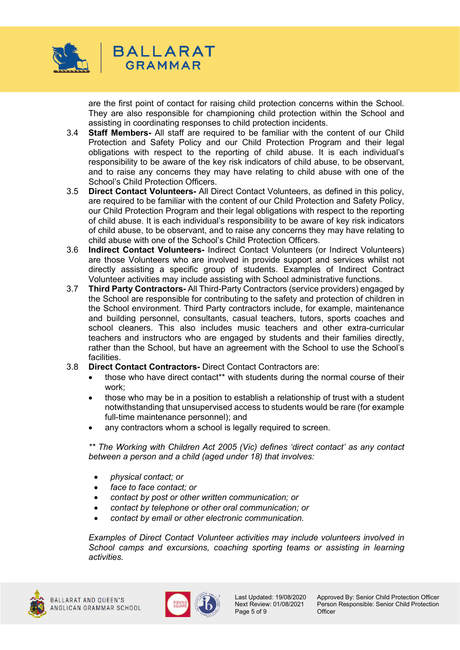

are the first point of contact for raising child protection concerns within the School. They are also responsible for championing child protection within the School and assisting in coordinating responses to child protection incidents.

- 3.4 **Staff Members-** All staff are required to be familiar with the content of our Child Protection and Safety Policy and our Child Protection Program and their legal obligations with respect to the reporting of child abuse. It is each individual's responsibility to be aware of the key risk indicators of child abuse, to be observant, and to raise any concerns they may have relating to child abuse with one of the School's Child Protection Officers.
- 3.5 **Direct Contact Volunteers-** All Direct Contact Volunteers, as defined in this policy, are required to be familiar with the content of our Child Protection and Safety Policy, our Child Protection Program and their legal obligations with respect to the reporting of child abuse. It is each individual's responsibility to be aware of key risk indicators of child abuse, to be observant, and to raise any concerns they may have relating to child abuse with one of the School's Child Protection Officers.
- 3.6 **Indirect Contact Volunteers-** Indirect Contact Volunteers (or Indirect Volunteers) are those Volunteers who are involved in provide support and services whilst not directly assisting a specific group of students. Examples of Indirect Contract Volunteer activities may include assisting with School administrative functions.
- 3.7 **Third Party Contractors-** All Third-Party Contractors (service providers) engaged by the School are responsible for contributing to the safety and protection of children in the School environment. Third Party contractors include, for example, maintenance and building personnel, consultants, casual teachers, tutors, sports coaches and school cleaners. This also includes music teachers and other extra-curricular teachers and instructors who are engaged by students and their families directly, rather than the School, but have an agreement with the School to use the School's facilities.
- 3.8 **Direct Contact Contractors-** Direct Contact Contractors are:
	- those who have direct contact\*\* with students during the normal course of their work;
	- those who may be in a position to establish a relationship of trust with a student notwithstanding that unsupervised access to students would be rare (for example full-time maintenance personnel); and
	- any contractors whom a school is legally required to screen.

*\*\* The Working with Children Act 2005 (Vic) defines 'direct contact' as any contact between a person and a child (aged under 18) that involves:*

- *physical contact; or*
- *face to face contact; or*
- *contact by post or other written communication; or*
- *contact by telephone or other oral communication; or*
- *contact by email or other electronic communication.*

*Examples of Direct Contact Volunteer activities may include volunteers involved in School camps and excursions, coaching sporting teams or assisting in learning activities.*



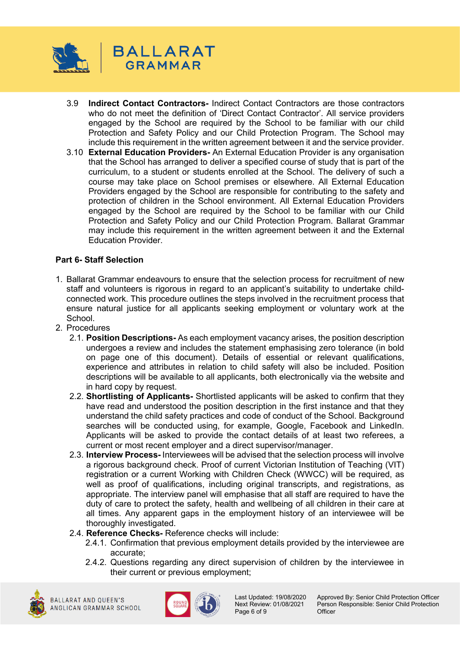

- 3.9 **Indirect Contact Contractors-** Indirect Contact Contractors are those contractors who do not meet the definition of 'Direct Contact Contractor'. All service providers engaged by the School are required by the School to be familiar with our child Protection and Safety Policy and our Child Protection Program. The School may include this requirement in the written agreement between it and the service provider.
- 3.10 **External Education Providers-** An External Education Provider is any organisation that the School has arranged to deliver a specified course of study that is part of the curriculum, to a student or students enrolled at the School. The delivery of such a course may take place on School premises or elsewhere. All External Education Providers engaged by the School are responsible for contributing to the safety and protection of children in the School environment. All External Education Providers engaged by the School are required by the School to be familiar with our Child Protection and Safety Policy and our Child Protection Program. Ballarat Grammar may include this requirement in the written agreement between it and the External Education Provider.

## **Part 6- Staff Selection**

- 1. Ballarat Grammar endeavours to ensure that the selection process for recruitment of new staff and volunteers is rigorous in regard to an applicant's suitability to undertake childconnected work. This procedure outlines the steps involved in the recruitment process that ensure natural justice for all applicants seeking employment or voluntary work at the **School**
- 2. Procedures
	- 2.1. **Position Descriptions-** As each employment vacancy arises, the position description undergoes a review and includes the statement emphasising zero tolerance (in bold on page one of this document). Details of essential or relevant qualifications, experience and attributes in relation to child safety will also be included. Position descriptions will be available to all applicants, both electronically via the website and in hard copy by request.
	- 2.2. **Shortlisting of Applicants-** Shortlisted applicants will be asked to confirm that they have read and understood the position description in the first instance and that they understand the child safety practices and code of conduct of the School. Background searches will be conducted using, for example, Google, Facebook and LinkedIn. Applicants will be asked to provide the contact details of at least two referees, a current or most recent employer and a direct supervisor/manager.
	- 2.3. **Interview Process-** Interviewees will be advised that the selection process will involve a rigorous background check. Proof of current Victorian Institution of Teaching (VIT) registration or a current Working with Children Check (WWCC) will be required, as well as proof of qualifications, including original transcripts, and registrations, as appropriate. The interview panel will emphasise that all staff are required to have the duty of care to protect the safety, health and wellbeing of all children in their care at all times. Any apparent gaps in the employment history of an interviewee will be thoroughly investigated.
	- 2.4. **Reference Checks-** Reference checks will include:
		- 2.4.1. Confirmation that previous employment details provided by the interviewee are accurate;
		- 2.4.2. Questions regarding any direct supervision of children by the interviewee in their current or previous employment;





Page 6 of 9

Last Updated: 19/08/2020 Approved By: Senior Child Protection Officer<br>Next Review: 01/08/2021 Person Responsible: Senior Child Protection Person Responsible: Senior Child Protection<br>Officer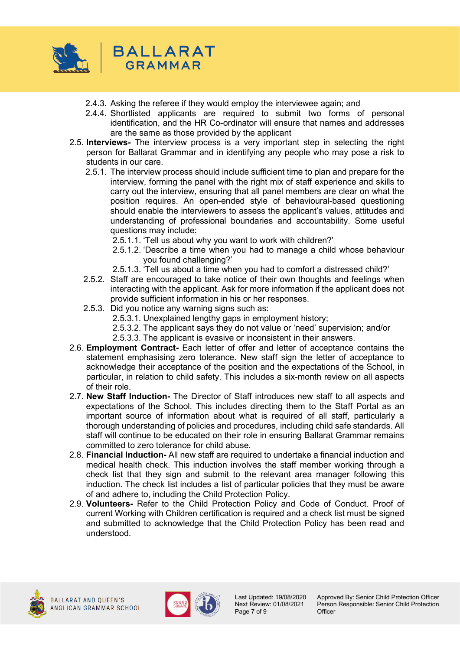

- 2.4.3. Asking the referee if they would employ the interviewee again; and
- 2.4.4. Shortlisted applicants are required to submit two forms of personal identification, and the HR Co-ordinator will ensure that names and addresses are the same as those provided by the applicant
- 2.5. **Interviews-** The interview process is a very important step in selecting the right person for Ballarat Grammar and in identifying any people who may pose a risk to students in our care.
	- 2.5.1. The interview process should include sufficient time to plan and prepare for the interview, forming the panel with the right mix of staff experience and skills to carry out the interview, ensuring that all panel members are clear on what the position requires. An open-ended style of behavioural-based questioning should enable the interviewers to assess the applicant's values, attitudes and understanding of professional boundaries and accountability. Some useful questions may include:
		- 2.5.1.1. 'Tell us about why you want to work with children?'
		- 2.5.1.2. 'Describe a time when you had to manage a child whose behaviour you found challenging?'
		- 2.5.1.3. 'Tell us about a time when you had to comfort a distressed child?'
	- 2.5.2. Staff are encouraged to take notice of their own thoughts and feelings when interacting with the applicant. Ask for more information if the applicant does not provide sufficient information in his or her responses.
	- 2.5.3. Did you notice any warning signs such as:
		- 2.5.3.1. Unexplained lengthy gaps in employment history;
		- 2.5.3.2. The applicant says they do not value or 'need' supervision; and/or
		- 2.5.3.3. The applicant is evasive or inconsistent in their answers.
- 2.6. **Employment Contract-** Each letter of offer and letter of acceptance contains the statement emphasising zero tolerance. New staff sign the letter of acceptance to acknowledge their acceptance of the position and the expectations of the School, in particular, in relation to child safety. This includes a six-month review on all aspects of their role.
- 2.7. **New Staff Induction-** The Director of Staff introduces new staff to all aspects and expectations of the School. This includes directing them to the Staff Portal as an important source of information about what is required of all staff, particularly a thorough understanding of policies and procedures, including child safe standards. All staff will continue to be educated on their role in ensuring Ballarat Grammar remains committed to zero tolerance for child abuse.
- 2.8. **Financial Induction-** All new staff are required to undertake a financial induction and medical health check. This induction involves the staff member working through a check list that they sign and submit to the relevant area manager following this induction. The check list includes a list of particular policies that they must be aware of and adhere to, including the Child Protection Policy.
- 2.9. **Volunteers-** Refer to the Child Protection Policy and Code of Conduct. Proof of current Working with Children certification is required and a check list must be signed and submitted to acknowledge that the Child Protection Policy has been read and understood.



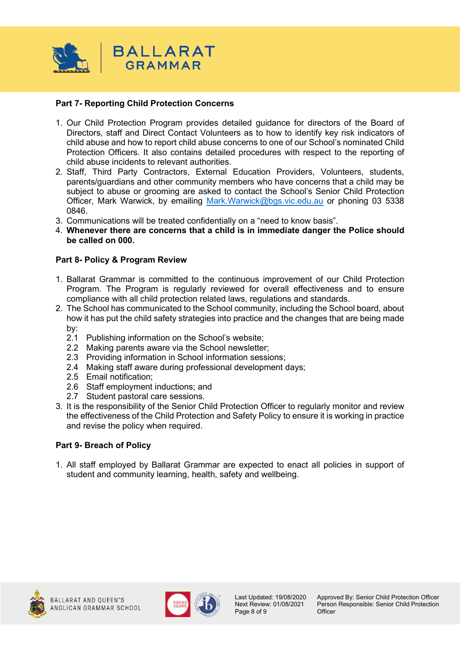

### **Part 7- Reporting Child Protection Concerns**

- 1. Our Child Protection Program provides detailed guidance for directors of the Board of Directors, staff and Direct Contact Volunteers as to how to identify key risk indicators of child abuse and how to report child abuse concerns to one of our School's nominated Child Protection Officers. It also contains detailed procedures with respect to the reporting of child abuse incidents to relevant authorities.
- 2. Staff, Third Party Contractors, External Education Providers, Volunteers, students, parents/guardians and other community members who have concerns that a child may be subject to abuse or grooming are asked to contact the School's Senior Child Protection Officer, Mark Warwick, by emailing [Mark.Warwick@bgs.vic.edu.au](mailto:Mark.Warwick@bgs.vic.edu.au) or phoning 03 5338 0846.
- 3. Communications will be treated confidentially on a "need to know basis".
- 4. **Whenever there are concerns that a child is in immediate danger the Police should be called on 000.**

### **Part 8- Policy & Program Review**

- 1. Ballarat Grammar is committed to the continuous improvement of our Child Protection Program. The Program is regularly reviewed for overall effectiveness and to ensure compliance with all child protection related laws, regulations and standards.
- 2. The School has communicated to the School community, including the School board, about how it has put the child safety strategies into practice and the changes that are being made by:
	- 2.1 Publishing information on the School's website;
	- 2.2 Making parents aware via the School newsletter;
	- 2.3 Providing information in School information sessions;
	- 2.4 Making staff aware during professional development days;
	- 2.5 Email notification;
	- 2.6 Staff employment inductions; and
	- 2.7 Student pastoral care sessions.
- 3. It is the responsibility of the Senior Child Protection Officer to regularly monitor and review the effectiveness of the Child Protection and Safety Policy to ensure it is working in practice and revise the policy when required.

### **Part 9- Breach of Policy**

1. All staff employed by Ballarat Grammar are expected to enact all policies in support of student and community learning, health, safety and wellbeing.